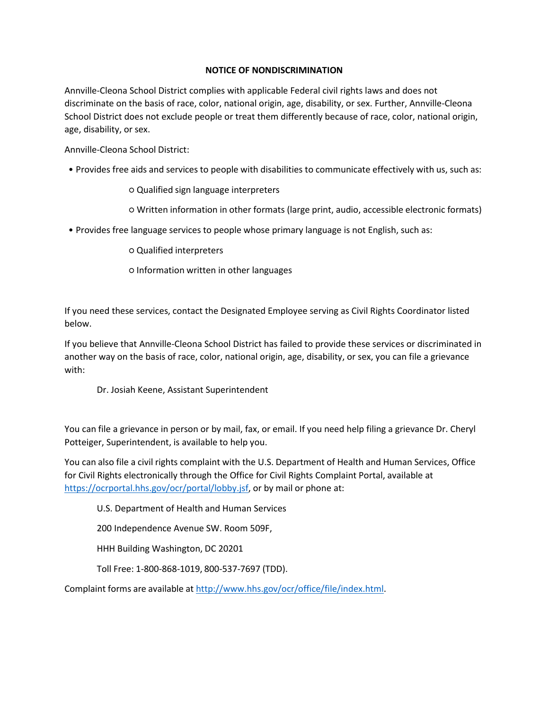# **NOTICE OF NONDISCRIMINATION**

Annville-Cleona School District complies with applicable Federal civil rights laws and does not discriminate on the basis of race, color, national origin, age, disability, or sex. Further, Annville-Cleona School District does not exclude people or treat them differently because of race, color, national origin, age, disability, or sex.

Annville-Cleona School District:

- Provides free aids and services to people with disabilities to communicate effectively with us, such as:
	- Qualified sign language interpreters
	- Written information in other formats (large print, audio, accessible electronic formats)
- Provides free language services to people whose primary language is not English, such as:
	- Qualified interpreters
	- Information written in other languages

If you need these services, contact the Designated Employee serving as Civil Rights Coordinator listed below.

If you believe that Annville-Cleona School District has failed to provide these services or discriminated in another way on the basis of race, color, national origin, age, disability, or sex, you can file a grievance with:

Dr. Josiah Keene, Assistant Superintendent

You can file a grievance in person or by mail, fax, or email. If you need help filing a grievance Dr. Cheryl Potteiger, Superintendent, is available to help you.

You can also file a civil rights complaint with the U.S. Department of Health and Human Services, Office for Civil Rights electronically through the Office for Civil Rights Complaint Portal, available at [https://ocrportal.hhs.gov/ocr/portal/lobby.jsf,](https://ocrportal.hhs.gov/ocr/portal/lobby.jsf) or by mail or phone at:

U.S. Department of Health and Human Services

200 Independence Avenue SW. Room 509F,

HHH Building Washington, DC 20201

Toll Free: 1-800-868-1019, 800-537-7697 (TDD).

Complaint forms are available at [http://www.hhs.gov/ocr/office/file/index.html.](http://www.hhs.gov/ocr/office/file/index.html)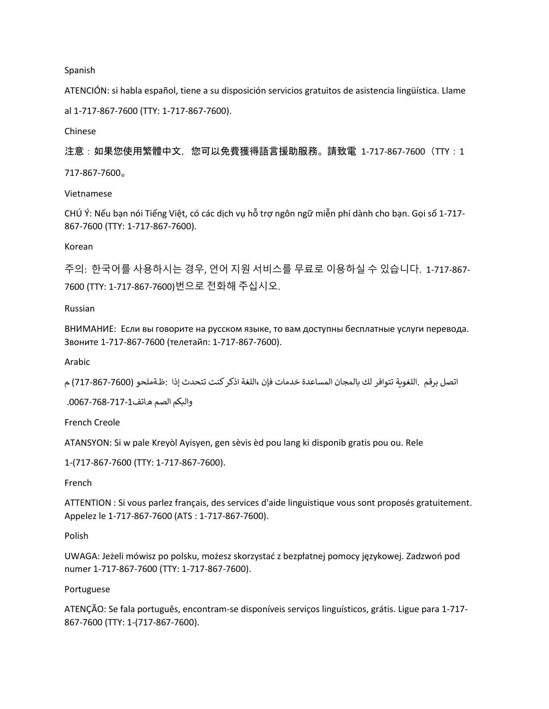Spanish

ATENCIÓN: si habla español, tiene a su disposición servicios gratuitos de asistencia lingüística. Llame al 1-717-867-7600 (TTY: 1-717-867-7600).

Chinese

注意:如果您使用繁體中文,您可以免費獲得語言援助服務。請致電 1-717-867-7600(TTY:1 717-867-7600。

Vietnamese

CHÚ Ý: Nếu bạn nói Tiếng Việt, có các dịch vụ hỗ trợ ngôn ngữ miễn phí dành cho bạn. Gọi số 1-717- 867-7600 (TTY: 1-717-867-7600).

Korean

주의: 한국어를 사용하시는 경우, 언어 지원 서비스를 무료로 이용하실 수 있습니다. 1-717-867- 7600 (TTY: 1-717-867-7600)번으로 전화해 주십시오.

#### Russian

ВНИМАНИЕ: Если вы говорите на русском языке, то вам доступны бесплатные услуги перевода. Звоните 1-717-867-7600 (телетайп: 1-717-867-7600).

Arabic

اتصل برقم .اللغوية تتوافر لك بالمجان المساعدة خدمات فإن ،اللغة اذكر كنت تتحدث إذا :ظةملحو (7600-717-867) م

وال�كم الصم ھاتف.0067-768-717-1

French Creole

ATANSYON: Si w pale Kreyòl Ayisyen, gen sèvis èd pou lang ki disponib gratis pou ou. Rele

1-(717-867-7600 (TTY: 1-717-867-7600).

French

ATTENTION : Si vous parlez français, des services d'aide linguistique vous sont proposés gratuitement. Appelez le 1-717-867-7600 (ATS : 1-717-867-7600).

Polish

UWAGA: Jeżeli mówisz po polsku, możesz skorzystać z bezpłatnej pomocy językowej. Zadzwoń pod numer 1-717-867-7600 (TTY: 1-717-867-7600).

#### Portuguese

ATENÇÃO: Se fala português, encontram-se disponíveis serviços linguísticos, grátis. Ligue para 1-717- 867-7600 (TTY: 1-(717-867-7600).